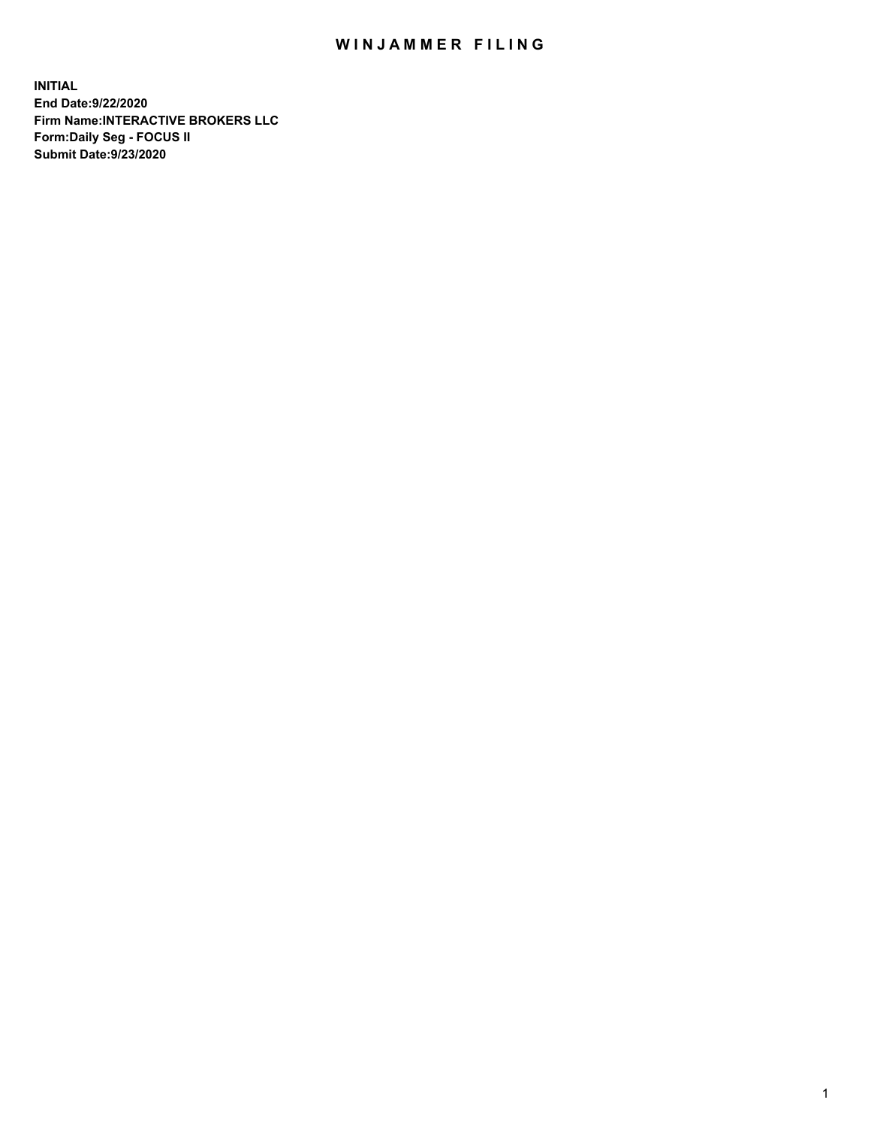## WIN JAMMER FILING

**INITIAL End Date:9/22/2020 Firm Name:INTERACTIVE BROKERS LLC Form:Daily Seg - FOCUS II Submit Date:9/23/2020**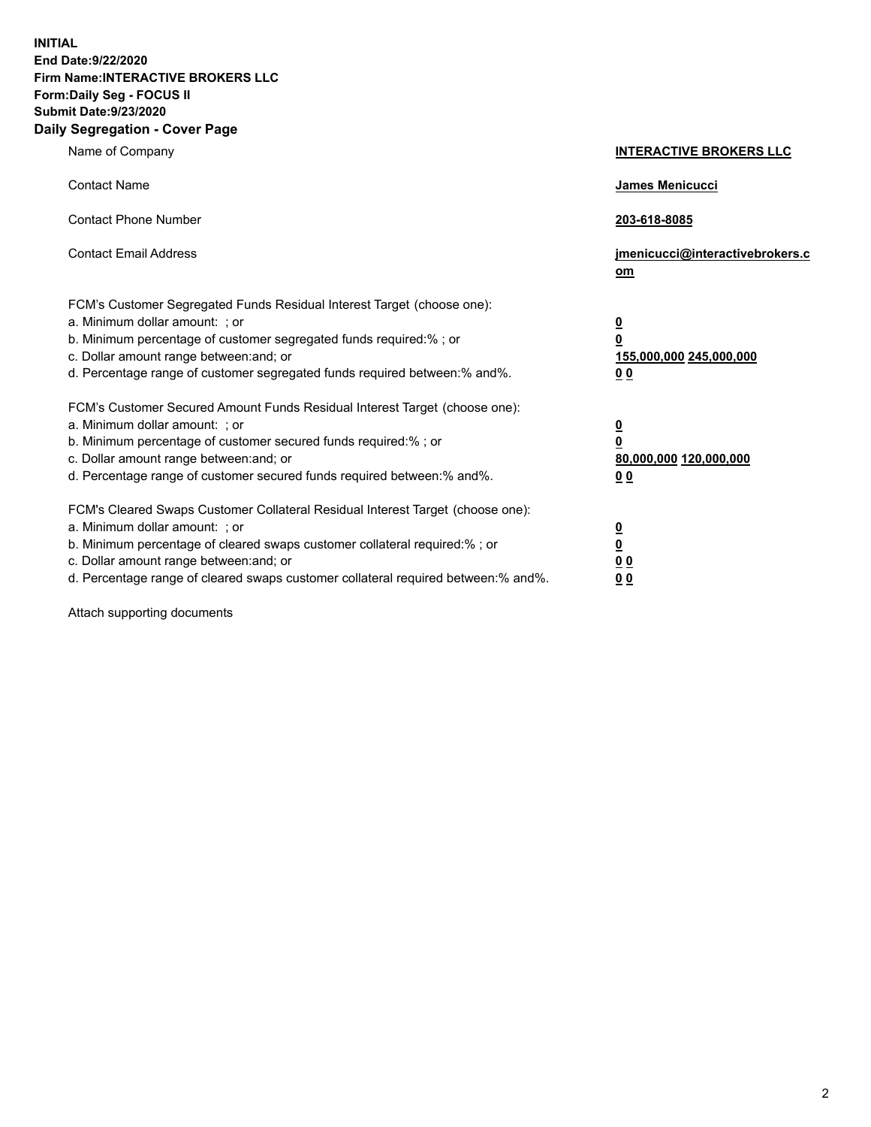**INITIAL End Date:9/22/2020 Firm Name:INTERACTIVE BROKERS LLC Form:Daily Seg - FOCUS II Submit Date:9/23/2020 Daily Segregation - Cover Page**

| Name of Company                                                                                                                                                                                                                                                                                                               | <b>INTERACTIVE BROKERS LLC</b>                                                   |
|-------------------------------------------------------------------------------------------------------------------------------------------------------------------------------------------------------------------------------------------------------------------------------------------------------------------------------|----------------------------------------------------------------------------------|
| <b>Contact Name</b>                                                                                                                                                                                                                                                                                                           | James Menicucci                                                                  |
| <b>Contact Phone Number</b>                                                                                                                                                                                                                                                                                                   | 203-618-8085                                                                     |
| <b>Contact Email Address</b>                                                                                                                                                                                                                                                                                                  | jmenicucci@interactivebrokers.c<br>om                                            |
| FCM's Customer Segregated Funds Residual Interest Target (choose one):<br>a. Minimum dollar amount: ; or<br>b. Minimum percentage of customer segregated funds required:% ; or<br>c. Dollar amount range between: and; or<br>d. Percentage range of customer segregated funds required between:% and%.                        | <u>0</u><br>$\overline{\mathbf{0}}$<br>155,000,000 245,000,000<br>0 <sub>0</sub> |
| FCM's Customer Secured Amount Funds Residual Interest Target (choose one):<br>a. Minimum dollar amount: ; or<br>b. Minimum percentage of customer secured funds required:%; or<br>c. Dollar amount range between: and; or<br>d. Percentage range of customer secured funds required between:% and%.                           | <u>0</u><br>$\overline{\mathbf{0}}$<br>80,000,000 120,000,000<br>0 <sub>0</sub>  |
| FCM's Cleared Swaps Customer Collateral Residual Interest Target (choose one):<br>a. Minimum dollar amount: ; or<br>b. Minimum percentage of cleared swaps customer collateral required:%; or<br>c. Dollar amount range between: and; or<br>d. Percentage range of cleared swaps customer collateral required between:% and%. | <u>0</u><br>$\underline{\mathbf{0}}$<br>0 <sub>0</sub><br>0 <sub>0</sub>         |

Attach supporting documents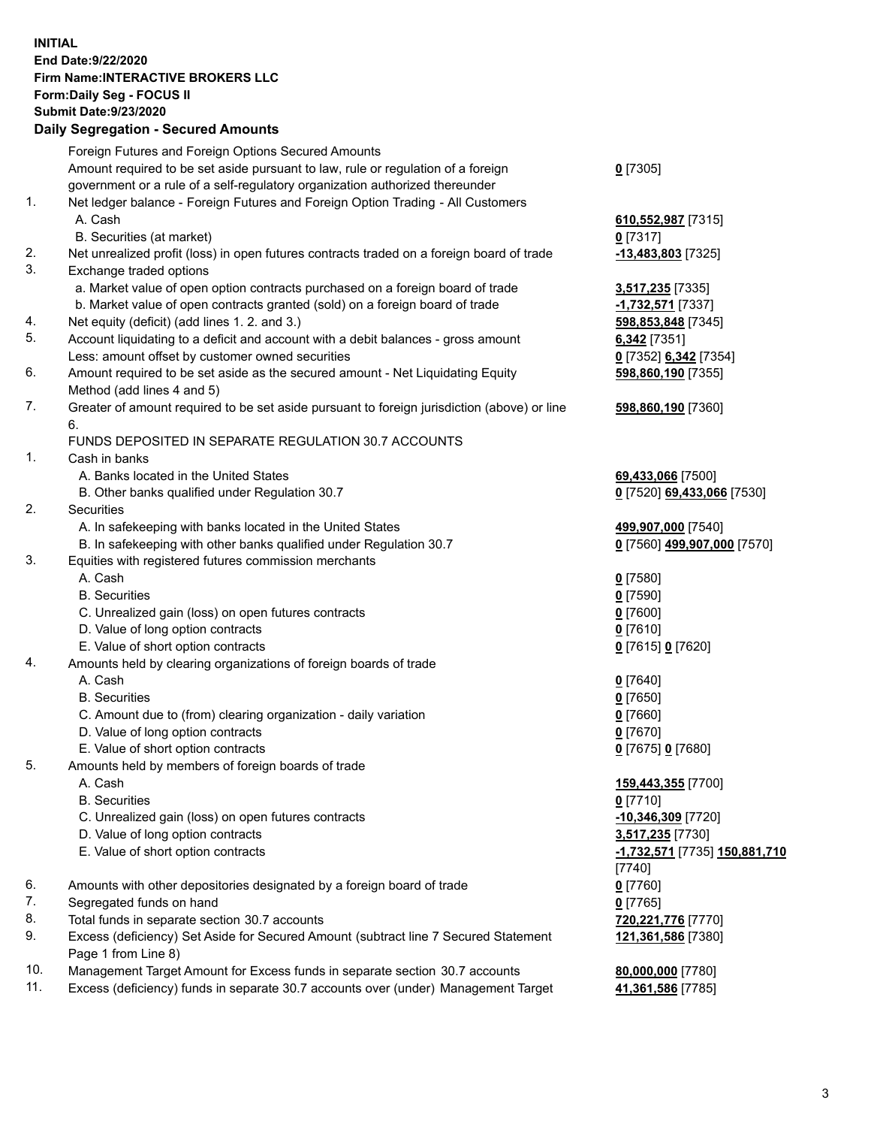**INITIAL End Date:9/22/2020 Firm Name:INTERACTIVE BROKERS LLC Form:Daily Seg - FOCUS II Submit Date:9/23/2020 Daily Segregation - Secured Amounts**

|                | <u> Bally Ocyfegation - Occared Alliounts</u>                                               |                               |
|----------------|---------------------------------------------------------------------------------------------|-------------------------------|
|                | Foreign Futures and Foreign Options Secured Amounts                                         |                               |
|                | Amount required to be set aside pursuant to law, rule or regulation of a foreign            | $0$ [7305]                    |
|                | government or a rule of a self-regulatory organization authorized thereunder                |                               |
| $\mathbf{1}$ . | Net ledger balance - Foreign Futures and Foreign Option Trading - All Customers             |                               |
|                | A. Cash                                                                                     | 610,552,987 [7315]            |
|                | B. Securities (at market)                                                                   | $0$ [7317]                    |
| 2.             | Net unrealized profit (loss) in open futures contracts traded on a foreign board of trade   | -13,483,803 [7325]            |
| 3.             | Exchange traded options                                                                     |                               |
|                | a. Market value of open option contracts purchased on a foreign board of trade              | 3,517,235 [7335]              |
|                | b. Market value of open contracts granted (sold) on a foreign board of trade                | $-1,732,571$ [7337]           |
| 4.             | Net equity (deficit) (add lines 1. 2. and 3.)                                               | 598,853,848 [7345]            |
| 5.             | Account liquidating to a deficit and account with a debit balances - gross amount           | 6,342 [7351]                  |
|                | Less: amount offset by customer owned securities                                            | 0 [7352] 6,342 [7354]         |
| 6.             | Amount required to be set aside as the secured amount - Net Liquidating Equity              | 598,860,190 [7355]            |
|                | Method (add lines 4 and 5)                                                                  |                               |
| 7.             | Greater of amount required to be set aside pursuant to foreign jurisdiction (above) or line |                               |
|                | 6.                                                                                          | 598,860,190 [7360]            |
|                | FUNDS DEPOSITED IN SEPARATE REGULATION 30.7 ACCOUNTS                                        |                               |
| 1.             |                                                                                             |                               |
|                | Cash in banks                                                                               |                               |
|                | A. Banks located in the United States                                                       | 69,433,066 [7500]             |
|                | B. Other banks qualified under Regulation 30.7                                              | 0 [7520] 69,433,066 [7530]    |
| 2.             | Securities                                                                                  |                               |
|                | A. In safekeeping with banks located in the United States                                   | 499,907,000 [7540]            |
|                | B. In safekeeping with other banks qualified under Regulation 30.7                          | 0 [7560] 499,907,000 [7570]   |
| 3.             | Equities with registered futures commission merchants                                       |                               |
|                | A. Cash                                                                                     | $0$ [7580]                    |
|                | <b>B.</b> Securities                                                                        | $0$ [7590]                    |
|                | C. Unrealized gain (loss) on open futures contracts                                         | $0$ [7600]                    |
|                | D. Value of long option contracts                                                           | $0$ [7610]                    |
|                | E. Value of short option contracts                                                          | 0 [7615] 0 [7620]             |
| 4.             | Amounts held by clearing organizations of foreign boards of trade                           |                               |
|                | A. Cash                                                                                     | $0$ [7640]                    |
|                | <b>B.</b> Securities                                                                        | $0$ [7650]                    |
|                | C. Amount due to (from) clearing organization - daily variation                             | $0$ [7660]                    |
|                | D. Value of long option contracts                                                           | $0$ [7670]                    |
|                | E. Value of short option contracts                                                          | 0 [7675] 0 [7680]             |
| 5.             | Amounts held by members of foreign boards of trade                                          |                               |
|                | A. Cash                                                                                     | 159,443,355 [7700]            |
|                | <b>B.</b> Securities                                                                        | $0$ [7710]                    |
|                | C. Unrealized gain (loss) on open futures contracts                                         | $-10,346,309$ [7720]          |
|                | D. Value of long option contracts                                                           | 3,517,235 [7730]              |
|                | E. Value of short option contracts                                                          | -1,732,571 [7735] 150,881,710 |
|                |                                                                                             | [7740]                        |
| 6.             | Amounts with other depositories designated by a foreign board of trade                      | $0$ [7760]                    |
| 7.             | Segregated funds on hand                                                                    | $0$ [7765]                    |
| 8.             | Total funds in separate section 30.7 accounts                                               | 720,221,776 [7770]            |
| 9.             | Excess (deficiency) Set Aside for Secured Amount (subtract line 7 Secured Statement         | 121,361,586 [7380]            |
|                | Page 1 from Line 8)                                                                         |                               |
| 10.            | Management Target Amount for Excess funds in separate section 30.7 accounts                 | 80,000,000 [7780]             |
| 11.            | Excess (deficiency) funds in separate 30.7 accounts over (under) Management Target          | 41,361,586 [7785]             |
|                |                                                                                             |                               |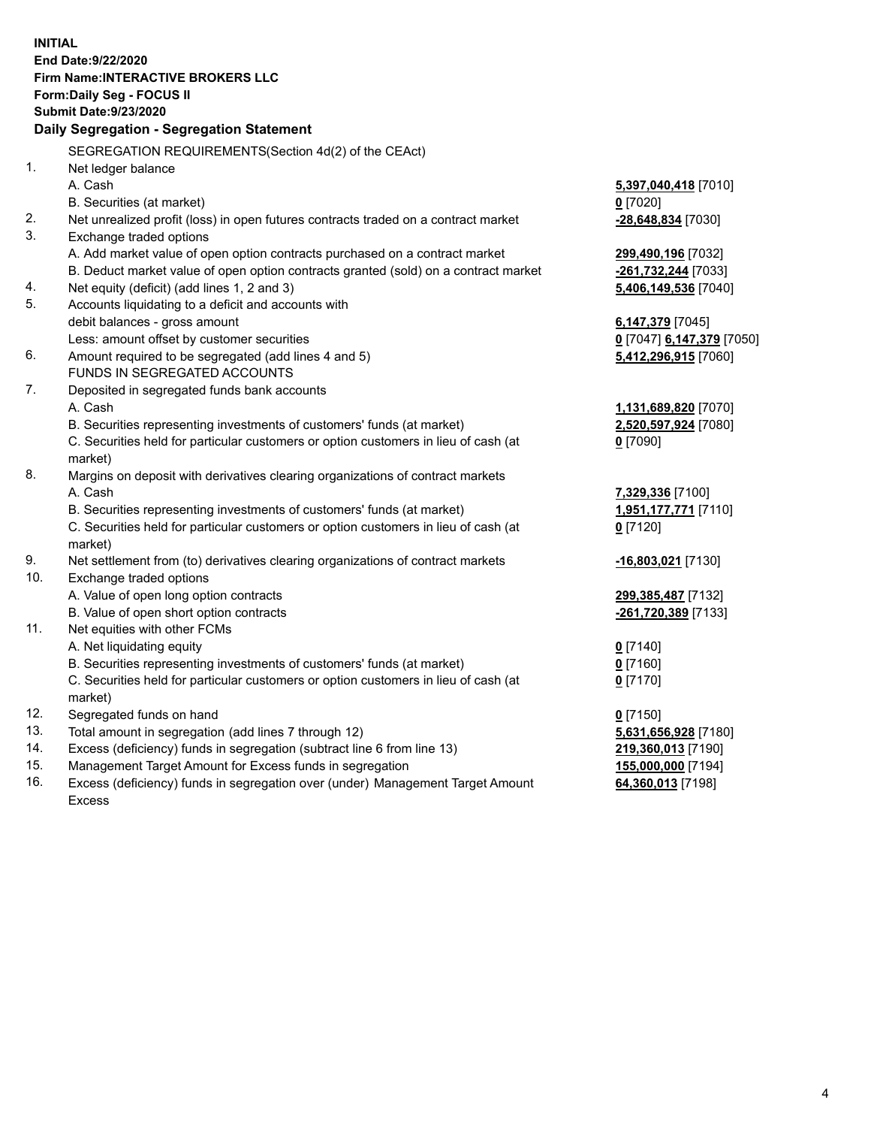**INITIAL End Date:9/22/2020 Firm Name:INTERACTIVE BROKERS LLC Form:Daily Seg - FOCUS II Submit Date:9/23/2020 Daily Segregation - Segregation Statement** SEGREGATION REQUIREMENTS(Section 4d(2) of the CEAct) 1. Net ledger balance A. Cash **5,397,040,418** [7010] B. Securities (at market) **0** [7020] 2. Net unrealized profit (loss) in open futures contracts traded on a contract market **-28,648,834** [7030] 3. Exchange traded options A. Add market value of open option contracts purchased on a contract market **299,490,196** [7032] B. Deduct market value of open option contracts granted (sold) on a contract market **-261,732,244** [7033] 4. Net equity (deficit) (add lines 1, 2 and 3) **5,406,149,536** [7040] 5. Accounts liquidating to a deficit and accounts with debit balances - gross amount **6,147,379** [7045] Less: amount offset by customer securities **0** [7047] **6,147,379** [7050] 6. Amount required to be segregated (add lines 4 and 5) **5,412,296,915** [7060] FUNDS IN SEGREGATED ACCOUNTS 7. Deposited in segregated funds bank accounts A. Cash **1,131,689,820** [7070] B. Securities representing investments of customers' funds (at market) **2,520,597,924** [7080] C. Securities held for particular customers or option customers in lieu of cash (at market) **0** [7090] 8. Margins on deposit with derivatives clearing organizations of contract markets A. Cash **7,329,336** [7100] B. Securities representing investments of customers' funds (at market) **1,951,177,771** [7110] C. Securities held for particular customers or option customers in lieu of cash (at market) **0** [7120] 9. Net settlement from (to) derivatives clearing organizations of contract markets **-16,803,021** [7130] 10. Exchange traded options A. Value of open long option contracts **299,385,487** [7132] B. Value of open short option contracts **-261,720,389** [7133] 11. Net equities with other FCMs A. Net liquidating equity **0** [7140] B. Securities representing investments of customers' funds (at market) **0** [7160] C. Securities held for particular customers or option customers in lieu of cash (at market) **0** [7170] 12. Segregated funds on hand **0** [7150] 13. Total amount in segregation (add lines 7 through 12) **5,631,656,928** [7180] 14. Excess (deficiency) funds in segregation (subtract line 6 from line 13) **219,360,013** [7190] 15. Management Target Amount for Excess funds in segregation **155,000,000** [7194] 16. Excess (deficiency) funds in segregation over (under) Management Target Amount **64,360,013** [7198]

Excess